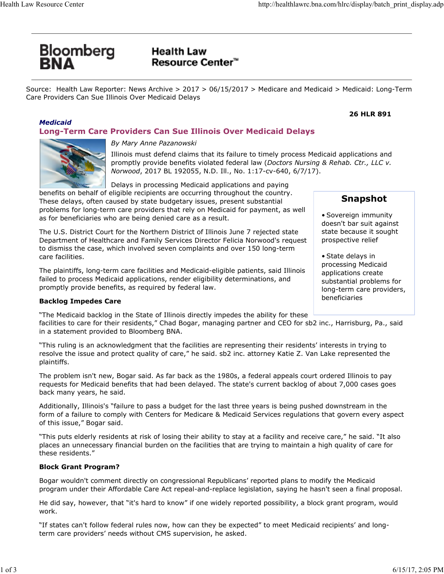# Bloomberg<br>**RNA**

# **Health Law Resource Center™**

Source: Health Law Reporter: News Archive > 2017 > 06/15/2017 > Medicare and Medicaid > Medicaid: Long-Term Care Providers Can Sue Illinois Over Medicaid Delays

## *Medicaid*

# **Long-Term Care Providers Can Sue Illinois Over Medicaid Delays**



## *By Mary Anne Pazanowski*

Illinois must defend claims that its failure to timely process Medicaid applications and promptly provide benefits violated federal law (*Doctors Nursing & Rehab. Ctr., LLC v. Norwood*, 2017 BL 192055, N.D. Ill., No. 1:17-cv-640, 6/7/17).

Delays in processing Medicaid applications and paying

benefits on behalf of eligible recipients are occurring throughout the country. These delays, often caused by state budgetary issues, present substantial problems for long-term care providers that rely on Medicaid for payment, as well as for beneficiaries who are being denied care as a result.

The U.S. District Court for the Northern District of Illinois June 7 rejected state Department of Healthcare and Family Services Director Felicia Norwood's request to dismiss the case, which involved seven complaints and over 150 long-term care facilities.

The plaintiffs, long-term care facilities and Medicaid-eligible patients, said Illinois failed to process Medicaid applications, render eligibility determinations, and promptly provide benefits, as required by federal law.

## **Backlog Impedes Care**

"The Medicaid backlog in the State of Illinois directly impedes the ability for these

facilities to care for their residents," Chad Bogar, managing partner and CEO for sb2 inc., Harrisburg, Pa., said in a statement provided to Bloomberg BNA.

"This ruling is an acknowledgment that the facilities are representing their residents' interests in trying to resolve the issue and protect quality of care," he said. sb2 inc. attorney Katie Z. Van Lake represented the plaintiffs.

The problem isn't new, Bogar said. As far back as the 1980s, a federal appeals court ordered Illinois to pay requests for Medicaid benefits that had been delayed. The state's current backlog of about 7,000 cases goes back many years, he said.

Additionally, Illinois's "failure to pass a budget for the last three years is being pushed downstream in the form of a failure to comply with Centers for Medicare & Medicaid Services regulations that govern every aspect of this issue," Bogar said.

"This puts elderly residents at risk of losing their ability to stay at a facility and receive care," he said. "It also places an unnecessary financial burden on the facilities that are trying to maintain a high quality of care for these residents."

## **Block Grant Program?**

Bogar wouldn't comment directly on congressional Republicans' reported plans to modify the Medicaid program under their Affordable Care Act repeal-and-replace legislation, saying he hasn't seen a final proposal.

He did say, however, that "it's hard to know" if one widely reported possibility, a block grant program, would work.

"If states can't follow federal rules now, how can they be expected" to meet Medicaid recipients' and longterm care providers' needs without CMS supervision, he asked.

# **Snapshot**

**26 HLR 891**

• Sovereign immunity doesn't bar suit against state because it sought prospective relief

• State delays in processing Medicaid applications create substantial problems for long-term care providers, beneficiaries